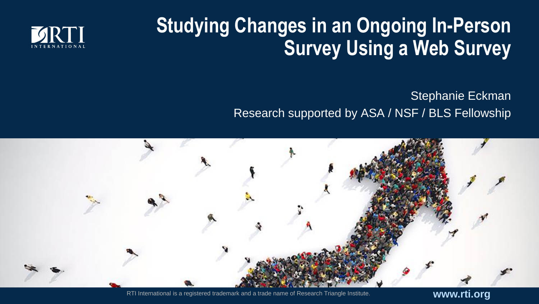## **Studying Changes in an Ongoing In-Person Survey Using a Web Survey**



Stephanie Eckman Research supported by ASA / NSF / BLS Fellowship



RTI International is a registered trademark and a trade name of Research Triangle Institute. **www.rti.org**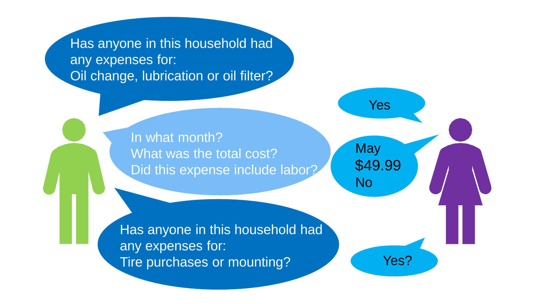Has anyone in this household had any expenses for: Oil change, lubrication or oil filter?

> In what month? What was the total cost? Did this expense include labor?

**May** \$49.99 No

Yes

Has anyone in this household had any expenses for: Tire purchases or mounting? Tire purchases or mounting?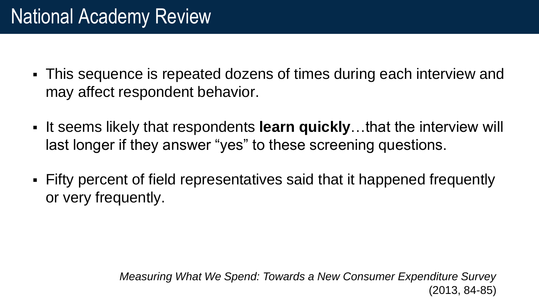- This sequence is repeated dozens of times during each interview and may affect respondent behavior.
- It seems likely that respondents **learn quickly**…that the interview will last longer if they answer "yes" to these screening questions.
- Fifty percent of field representatives said that it happened frequently or very frequently.

*Measuring What We Spend: Towards a New Consumer Expenditure Survey*  (2013, 84-85)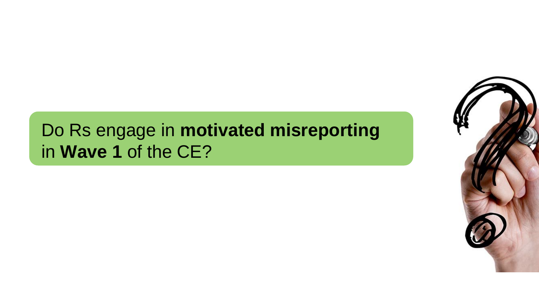#### Do Rs engage in **motivated misreporting**  in **Wave 1** of the CE?

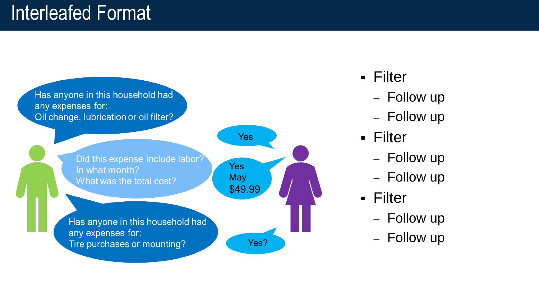

- Filter
	- Follow up
	- Follow up
- Filter
	- Follow up
	- Follow up
- Filter
	- Follow up
	- Follow up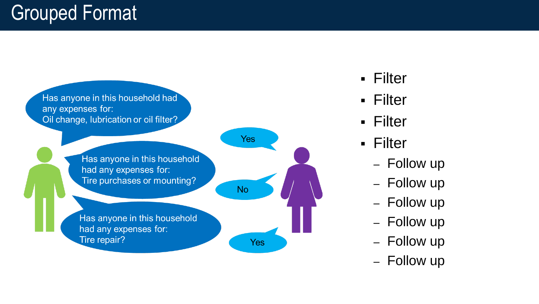

- Filter
- Filter
- Filter
- Filter
	- Follow up
	- Follow up
	- Follow up
	- Follow up
	- Follow up
	- Follow up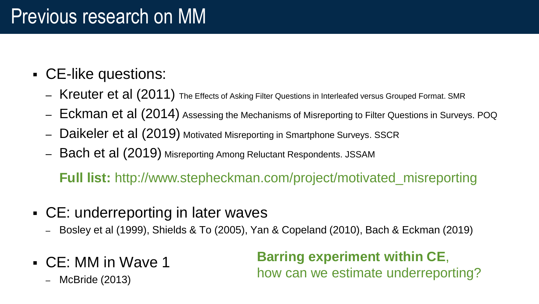#### Previous research on MM

- CE-like questions:
	- Kreuter et al (2011) The Effects of Asking Filter Questions in Interleafed versus Grouped Format. SMR
	- Eckman et al (2014) Assessing the Mechanisms of Misreporting to Filter Questions in Surveys. POQ
	- Daikeler et al (2019) Motivated Misreporting in Smartphone Surveys. SSCR
	- Bach et al (2019) Misreporting Among Reluctant Respondents. JSSAM

**Full list:** http://www.stepheckman.com/project/motivated\_misreporting

- CE: underreporting in later waves
	- Bosley et al (1999), Shields & To (2005), Yan & Copeland (2010), Bach & Eckman (2019)
- CE: MM in Wave 1

– McBride (2013)

**Barring experiment within CE**, how can we estimate underreporting?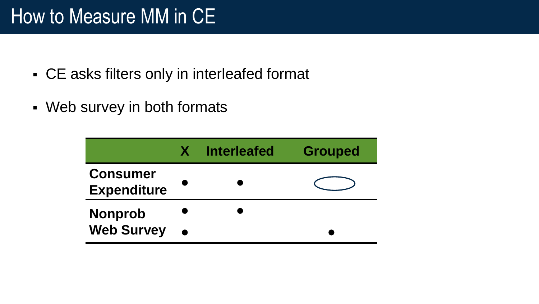### How to Measure MM in CE

- CE asks filters only in interleafed format
- Web survey in both formats

|                                       | <b>Interleafed</b> | <b>Grouped</b> |
|---------------------------------------|--------------------|----------------|
| <b>Consumer</b><br><b>Expenditure</b> |                    |                |
| <b>Nonprob</b>                        |                    |                |
| <b>Web Survey</b>                     |                    |                |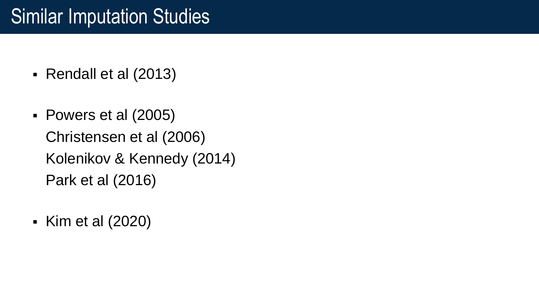- Rendall et al (2013)
- Powers et al (2005) Christensen et al (2006) Kolenikov & Kennedy (2014) Park et al (2016)
- Kim et al (2020)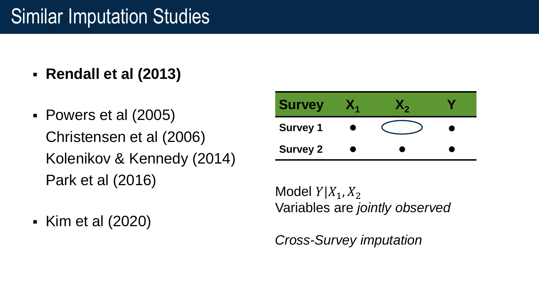- **Rendall et al (2013)**
- Powers et al (2005) Christensen et al (2006) Kolenikov & Kennedy (2014) Park et al (2016)

| <b>Survey</b>   |  |  |
|-----------------|--|--|
| <b>Survey 1</b> |  |  |
| <b>Survey 2</b> |  |  |

Model  $Y|X_1, X_2$ Variables are *jointly observed*

▪ Kim et al (2020)

*Cross-Survey imputation*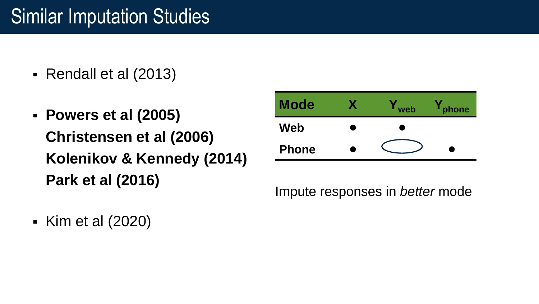- Rendall et al (2013)
- **Powers et al (2005) Christensen et al (2006) Kolenikov & Kennedy (2014) Park et al (2016)**

| <b>Mode</b>  |   | web                                                                                                                                                                                                                            | hone) |
|--------------|---|--------------------------------------------------------------------------------------------------------------------------------------------------------------------------------------------------------------------------------|-------|
| Web          | ш | a and the second state of the second state in the second state in the second state in the second state in the second state in the second state in the second state in the second state in the second state in the second state |       |
| <b>Phone</b> |   |                                                                                                                                                                                                                                |       |

Impute responses in *better* mode

▪ Kim et al (2020)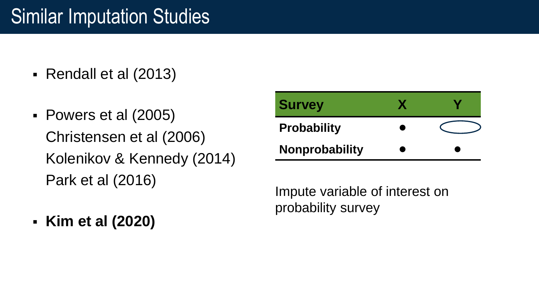- Rendall et al (2013)
- Powers et al (2005) Christensen et al (2006) Kolenikov & Kennedy (2014) Park et al (2016)

| <b>Survey</b>      |  |
|--------------------|--|
| <b>Probability</b> |  |
| Nonprobability     |  |

Impute variable of interest on probability survey

▪ **Kim et al (2020)**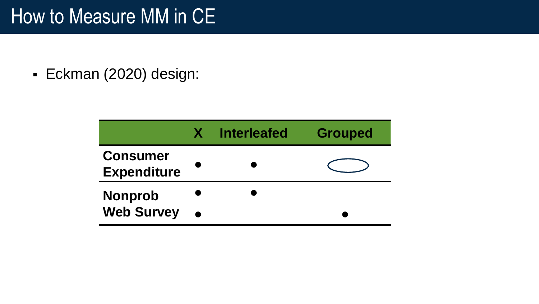#### How to Measure MM in CE

▪ Eckman (2020) design:

|                                       | <b>Interleafed</b> | <b>Grouped</b> |
|---------------------------------------|--------------------|----------------|
| <b>Consumer</b><br><b>Expenditure</b> |                    |                |
| <b>Nonprob</b>                        |                    |                |
| <b>Web Survey</b>                     |                    |                |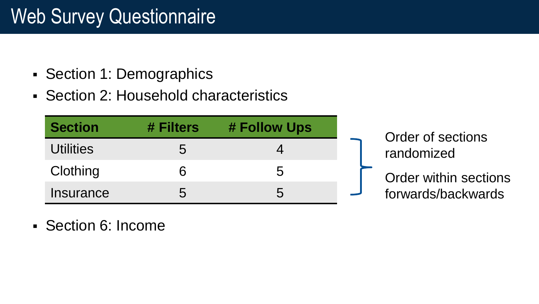## Web Survey Questionnaire

- Section 1: Demographics
- Section 2: Household characteristics

| <b>Section</b>   | # Filters | # Follow Ups |  |
|------------------|-----------|--------------|--|
| <b>Utilities</b> | 5         |              |  |
| Clothing         | ห         | $\mathbf{b}$ |  |
| Insurance        | ე         | :C           |  |

Order of sections randomized

Order within sections forwards/backwards

▪ Section 6: Income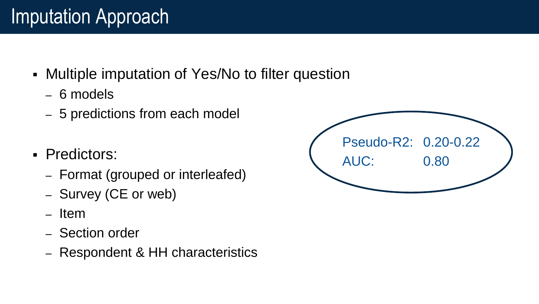# Imputation Approach

- **Multiple imputation of Yes/No to filter question** 
	- 6 models
	- 5 predictions from each model
- Predictors:
	- Format (grouped or interleafed)
	- Survey (CE or web)
	- Item
	- Section order
	- Respondent & HH characteristics

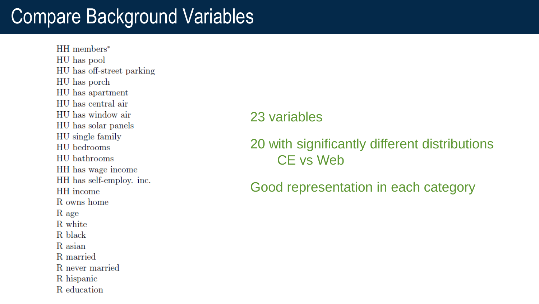### Compare Background Variables

 $HH$  members\* HU has pool HU has off-street parking HU has porch HU has apartment HU has central air HU has window air HU has solar panels HU single family HU bedrooms HU bathrooms HH has wage income HH has self-employ. inc. HH income R owns home R age R white R black R asian R married R never married R hispanic R. education

#### 23 variables

#### 20 with significantly different distributions CE vs Web

Good representation in each category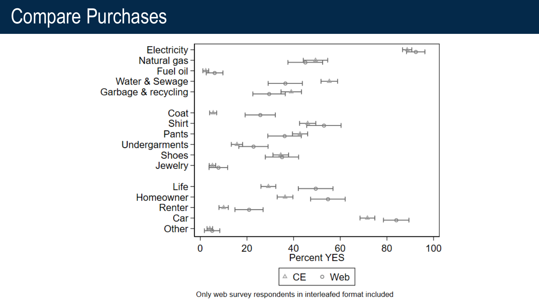### Compare Purchases



Only web survey respondents in interleafed format included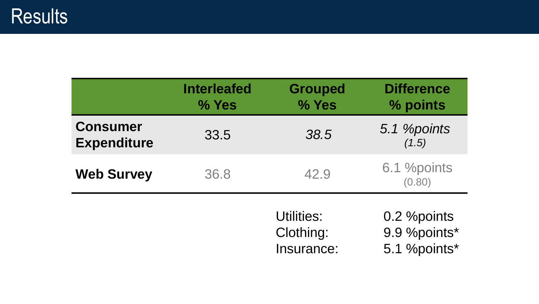|                                       | <b>Interleafed</b><br>% Yes | <b>Grouped</b><br>% Yes               | <b>Difference</b><br>% points                |
|---------------------------------------|-----------------------------|---------------------------------------|----------------------------------------------|
| <b>Consumer</b><br><b>Expenditure</b> | 33.5                        | 38.5                                  | 5.1 <i>%points</i><br>(1.5)                  |
| <b>Web Survey</b>                     | 36.8                        | 42.9                                  | 6.1 %points<br>(0.80)                        |
|                                       |                             | Utilities:<br>Clothing:<br>Insurance: | 0.2 % points<br>9.9 %points*<br>5.1 %points* |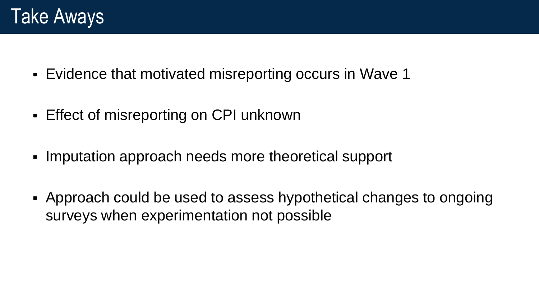- Evidence that motivated misreporting occurs in Wave 1
- Effect of misreporting on CPI unknown
- Imputation approach needs more theoretical support
- Approach could be used to assess hypothetical changes to ongoing surveys when experimentation not possible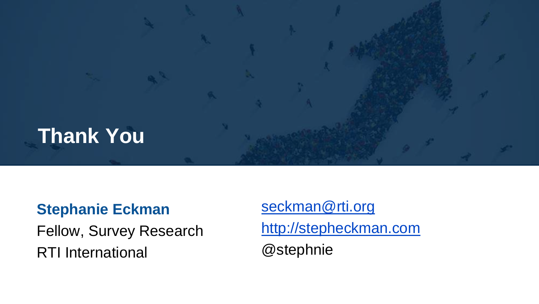

#### **Stephanie Eckman**

Fellow, Survey Research RTI International

[seckman@rti.org](mailto:seckman@rti.org) [http://stepheckman.com](http://stepheckman.com/) @stephnie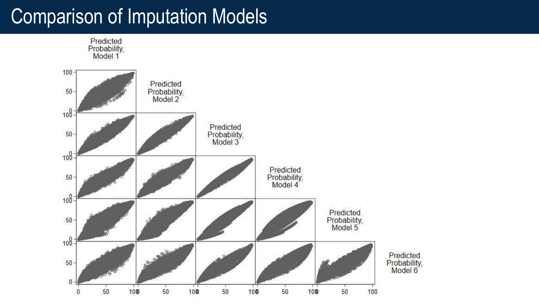# Comparison of Imputation Models